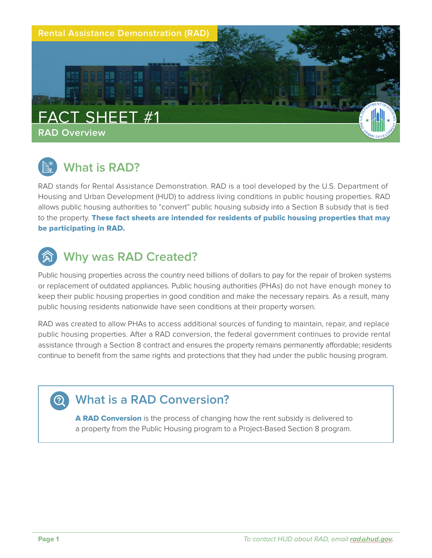

# **What is RAD?**

RAD stands for Rental Assistance Demonstration. RAD is a tool developed by the U.S. Department of Housing and Urban Development (HUD) to address living conditions in public housing properties. RAD allows public housing authorities to "convert" public housing subsidy into a Section 8 subsidy that is tied to the property. These fact sheets are intended for residents of public housing properties that may be participating in RAD.

# **Why was RAD Created?**

Public housing properties across the country need billions of dollars to pay for the repair of broken systems or replacement of outdated appliances. Public housing authorities (PHAs) do not have enough money to keep their public housing properties in good condition and make the necessary repairs. As a result, many public housing residents nationwide have seen conditions at their property worsen.

RAD was created to allow PHAs to access additional sources of funding to maintain, repair, and replace public housing properties. After a RAD conversion, the federal government continues to provide rental assistance through a Section 8 contract and ensures the property remains permanently affordable; residents continue to benefit from the same rights and protections that they had under the public housing program.

### **What is a RAD Conversion?**

A RAD Conversion is the process of changing how the rent subsidy is delivered to a property from the Public Housing program to a Project-Based Section 8 program.

 $\odot$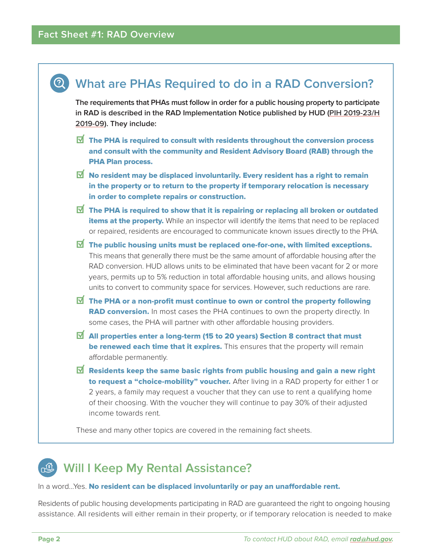

### **Will I Keep My Rental Assistance?**

### In a word...Yes. No resident can be displaced involuntarily or pay an unaffordable rent.

Residents of public housing developments participating in RAD are guaranteed the right to ongoing housing assistance. All residents will either remain in their property, or if temporary relocation is needed to make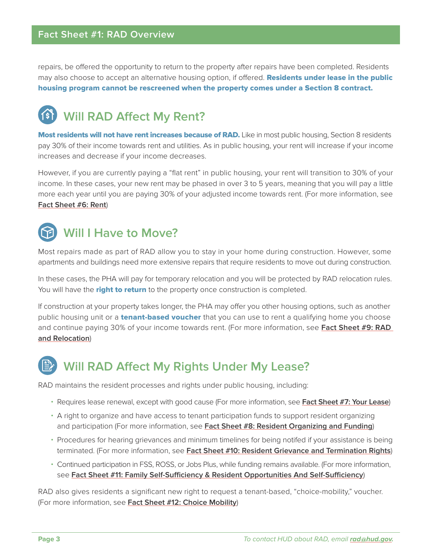### **Fact Sheet #1: RAD Overview**

repairs, be offered the opportunity to return to the property after repairs have been completed. Residents may also choose to accept an alternative housing option, if offered. Residents under lease in the public housing program cannot be rescreened when the property comes under a Section 8 contract.

# **Will RAD Affect My Rent?**

Most residents will not have rent increases because of RAD. Like in most public housing, Section 8 residents pay 30% of their income towards rent and utilities. As in public housing, your rent will increase if your income increases and decrease if your income decreases.

However, if you are currently paying a "flat rent" in public housing, your rent will transition to 30% of your income. In these cases, your new rent may be phased in over 3 to 5 years, meaning that you will pay a little more each year until you are paying 30% of your adjusted income towards rent. (For more information, see **Fact Sheet #6: Rent**)

## **Will I Have to Move?**

Most repairs made as part of RAD allow you to stay in your home during construction. However, some apartments and buildings need more extensive repairs that require residents to move out during construction.

In these cases, the PHA will pay for temporary relocation and you will be protected by RAD relocation rules. You will have the right to return to the property once construction is completed.

If construction at your property takes longer, the PHA may offer you other housing options, such as another public housing unit or a **tenant-based voucher** that you can use to rent a qualifying home you choose and continue paying 30% of your income towards rent. (For more information, see **[Fact Sheet #9: RAD](https://www.hud.gov/sites/dfiles/Housing/documents/RADResidentFactSheet_9_RADandRelocation.pdf)  [and Relocation](https://www.hud.gov/sites/dfiles/Housing/documents/RADResidentFactSheet_9_RADandRelocation.pdf)**)

### **Will RAD Affect My Rights Under My Lease?**

RAD maintains the resident processes and rights under public housing, including:

- Requires lease renewal, except with good cause (For more information, see **[Fact Sheet #7: Your Lease](https://www.hud.gov/sites/dfiles/Housing/documents/RADResidentFactSheet_7_YourLease.pdf)**)
- A right to organize and have access to tenant participation funds to support resident organizing and participation (For more information, see **[Fact Sheet #8: Resident Organizing and Funding](https://www.hud.gov/sites/dfiles/Housing/documents/RADResidentFactSheet_8_ResidentOrganizingAndFunding.pdf)**)
- Procedures for hearing grievances and minimum timelines for being notifed if your assistance is being terminated. (For more information, see **[Fact Sheet #10: Resident Grievance and Termination Rights](https://www.hud.gov/sites/dfiles/Housing/documents/RADResidentFactSheet_10_ResidentGrievanceandTerminationRights.pdf)**)
- Continued participation in FSS, ROSS, or Jobs Plus, while funding remains available. (For more information, see **[Fact Sheet #11: Family Self-Sufficiency & Resident Opportunities And Self-Sufficiency](https://www.hud.gov/sites/dfiles/Housing/documents/RADResidentFactSheet_11_FSSandROSS.pdf)**)

RAD also gives residents a significant new right to request a tenant-based, "choice-mobility," voucher. (For more information, see **[Fact Sheet #12: Choice Mobility](https://www.hud.gov/sites/dfiles/Housing/documents/RADResidentFactSheet_12_ChoiceMobility.pdf)**)